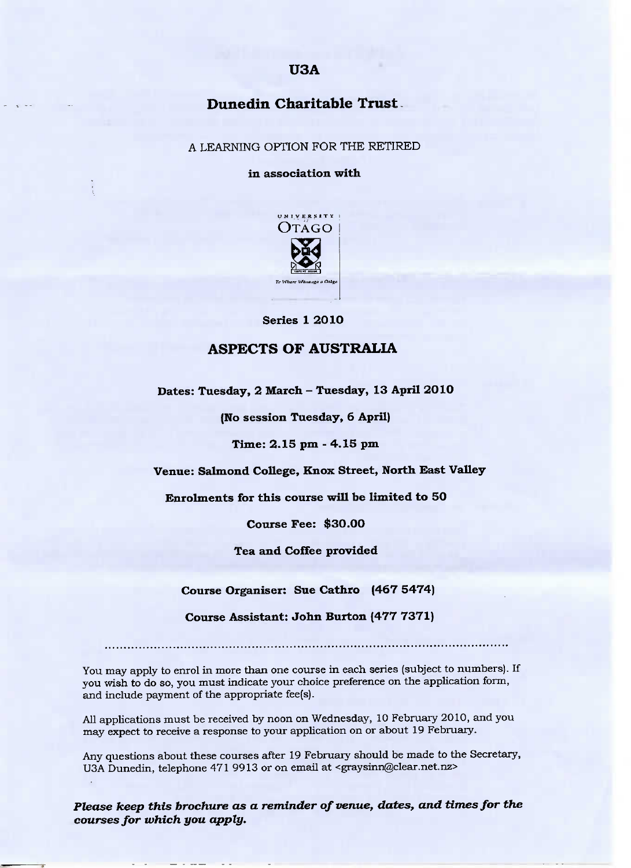## U3A

# Dunedin **Charitable Trust**

A LEARNING OPTION FOR THE RETIRED

**in association with**



Series 1 2010

### **ASPECTS OF AUSTRALIA**

**Dates: Tuesday, 2 March** *-* **Tuesday, 13 April 2010**

**(No session Tuesday, 6 April)**

Time: 2.15 pm - 4.15 pm

**Venue:** Salmond **College, Knox Street, North East Valley**

Enrolments **for this course will be limited to 50**

**Course Fee:** \$30.00

**Tea and Coffee provided**

**Course Organiser: Sue Cathro (467 5474)**

**Course Assistant: John Burton (477 7371)**

You may apply to enrol in more than one course in each series (subject to numbers). If you wish to do so, you must indicate your choice preference on the application form, and include payment of the appropriate fee(s).

All applications must be received by noon on Wednesday, 10 February 2010, and you may expect to receive a response to your application on or about 19 February.

Any questions about these courses after 19 February should be made to the Secretary, USA Dunedin, telephone 471 9913 or on email at <graysinn@clear.net.nz>

*Please keep this brochure as a reminder of venue, dates, and times for the courses for which you apply.*